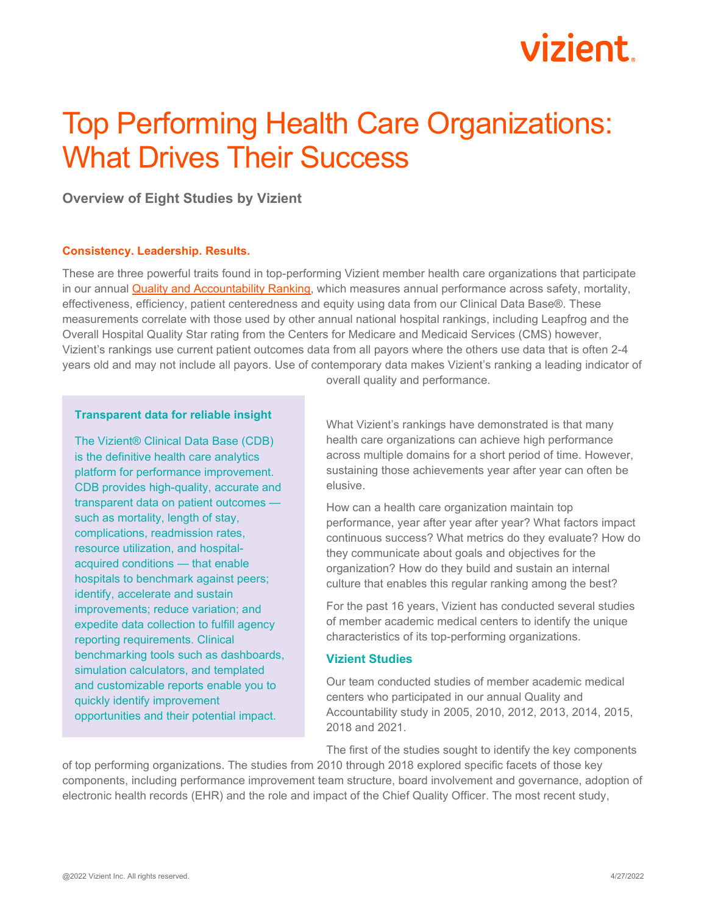# vizient

# Top Performing Health Care Organizations: What Drives Their Success

**Overview of Eight Studies by Vizient**

# **Consistency. Leadership. Results.**

These are three powerful traits found in top-performing Vizient member health care organizations that participate in our annual [Quality and Accountability Ranking,](https://www.vizientinc.com/members/member-awards) which measures annual performance across safety, mortality, effectiveness, efficiency, patient centeredness and equity using data from our Clinical Data Base®. These measurements correlate with those used by other annual national hospital rankings, including Leapfrog and the Overall Hospital Quality Star rating from the Centers for Medicare and Medicaid Services (CMS) however, Vizient's rankings use current patient outcomes data from all payors where the others use data that is often 2-4 years old and may not include all payors. Use of contemporary data makes Vizient's ranking a leading indicator of

#### **Transparent data for reliable insight**

The Vizient® Clinical Data Base (CDB) is the definitive health care analytics platform for performance improvement. CDB provides high-quality, accurate and transparent data on patient outcomes such as mortality, length of stay, complications, readmission rates, resource utilization, and hospitalacquired conditions — that enable hospitals to benchmark against peers; identify, accelerate and sustain improvements; reduce variation; and expedite data collection to fulfill agency reporting requirements. Clinical benchmarking tools such as dashboards, simulation calculators, and templated and customizable reports enable you to quickly identify improvement opportunities and their potential impact.

overall quality and performance.

What Vizient's rankings have demonstrated is that many health care organizations can achieve high performance across multiple domains for a short period of time. However, sustaining those achievements year after year can often be elusive.

How can a health care organization maintain top performance, year after year after year? What factors impact continuous success? What metrics do they evaluate? How do they communicate about goals and objectives for the organization? How do they build and sustain an internal culture that enables this regular ranking among the best?

For the past 16 years, Vizient has conducted several studies of member academic medical centers to identify the unique characteristics of its top-performing organizations.

# **Vizient Studies**

Our team conducted studies of member academic medical centers who participated in our annual Quality and Accountability study in 2005, 2010, 2012, 2013, 2014, 2015, 2018 and 2021.

The first of the studies sought to identify the key components

of top performing organizations. The studies from 2010 through 2018 explored specific facets of those key components, including performance improvement team structure, board involvement and governance, adoption of electronic health records (EHR) and the role and impact of the Chief Quality Officer. The most recent study,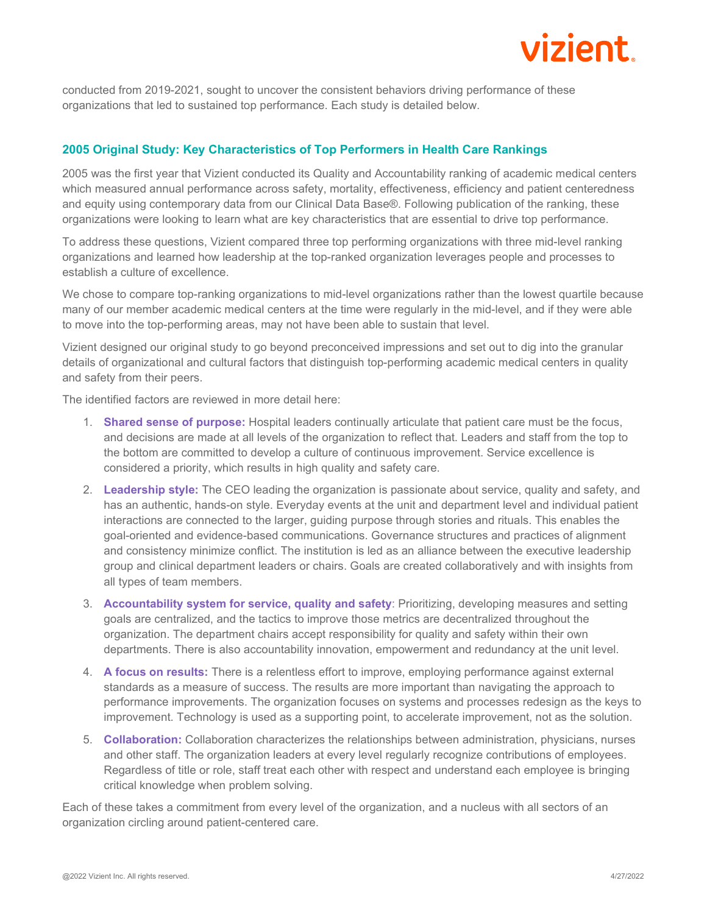

conducted from 2019-2021, sought to uncover the consistent behaviors driving performance of these organizations that led to sustained top performance. Each study is detailed below.

### **2005 Original Study: Key Characteristics of Top Performers in Health Care Rankings**

2005 was the first year that Vizient conducted its Quality and Accountability ranking of academic medical centers which measured annual performance across safety, mortality, effectiveness, efficiency and patient centeredness and equity using contemporary data from our Clinical Data Base®. Following publication of the ranking, these organizations were looking to learn what are key characteristics that are essential to drive top performance.

To address these questions, Vizient compared three top performing organizations with three mid-level ranking organizations and learned how leadership at the top-ranked organization leverages people and processes to establish a culture of excellence.

We chose to compare top-ranking organizations to mid-level organizations rather than the lowest quartile because many of our member academic medical centers at the time were regularly in the mid-level, and if they were able to move into the top-performing areas, may not have been able to sustain that level.

Vizient designed our original study to go beyond preconceived impressions and set out to dig into the granular details of organizational and cultural factors that distinguish top-performing academic medical centers in quality and safety from their peers.

The identified factors are reviewed in more detail here:

- 1. **Shared sense of purpose:** Hospital leaders continually articulate that patient care must be the focus, and decisions are made at all levels of the organization to reflect that. Leaders and staff from the top to the bottom are committed to develop a culture of continuous improvement. Service excellence is considered a priority, which results in high quality and safety care.
- 2. **Leadership style:** The CEO leading the organization is passionate about service, quality and safety, and has an authentic, hands-on style. Everyday events at the unit and department level and individual patient interactions are connected to the larger, guiding purpose through stories and rituals. This enables the goal-oriented and evidence-based communications. Governance structures and practices of alignment and consistency minimize conflict. The institution is led as an alliance between the executive leadership group and clinical department leaders or chairs. Goals are created collaboratively and with insights from all types of team members.
- 3. **Accountability system for service, quality and safety**: Prioritizing, developing measures and setting goals are centralized, and the tactics to improve those metrics are decentralized throughout the organization. The department chairs accept responsibility for quality and safety within their own departments. There is also accountability innovation, empowerment and redundancy at the unit level.
- 4. **A focus on results:** There is a relentless effort to improve, employing performance against external standards as a measure of success. The results are more important than navigating the approach to performance improvements. The organization focuses on systems and processes redesign as the keys to improvement. Technology is used as a supporting point, to accelerate improvement, not as the solution.
- 5. **Collaboration:** Collaboration characterizes the relationships between administration, physicians, nurses and other staff. The organization leaders at every level regularly recognize contributions of employees. Regardless of title or role, staff treat each other with respect and understand each employee is bringing critical knowledge when problem solving.

Each of these takes a commitment from every level of the organization, and a nucleus with all sectors of an organization circling around patient-centered care.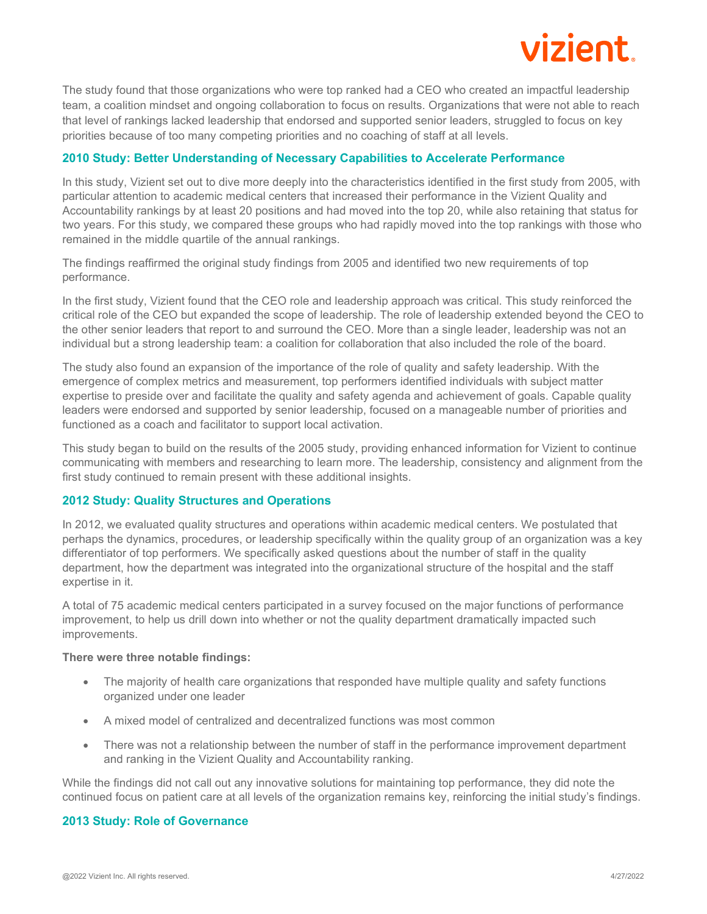

The study found that those organizations who were top ranked had a CEO who created an impactful leadership team, a coalition mindset and ongoing collaboration to focus on results. Organizations that were not able to reach that level of rankings lacked leadership that endorsed and supported senior leaders, struggled to focus on key priorities because of too many competing priorities and no coaching of staff at all levels.

# **2010 Study: Better Understanding of Necessary Capabilities to Accelerate Performance**

In this study, Vizient set out to dive more deeply into the characteristics identified in the first study from 2005, with particular attention to academic medical centers that increased their performance in the Vizient Quality and Accountability rankings by at least 20 positions and had moved into the top 20, while also retaining that status for two years. For this study, we compared these groups who had rapidly moved into the top rankings with those who remained in the middle quartile of the annual rankings.

The findings reaffirmed the original study findings from 2005 and identified two new requirements of top performance.

In the first study, Vizient found that the CEO role and leadership approach was critical. This study reinforced the critical role of the CEO but expanded the scope of leadership. The role of leadership extended beyond the CEO to the other senior leaders that report to and surround the CEO. More than a single leader, leadership was not an individual but a strong leadership team: a coalition for collaboration that also included the role of the board.

The study also found an expansion of the importance of the role of quality and safety leadership. With the emergence of complex metrics and measurement, top performers identified individuals with subject matter expertise to preside over and facilitate the quality and safety agenda and achievement of goals. Capable quality leaders were endorsed and supported by senior leadership, focused on a manageable number of priorities and functioned as a coach and facilitator to support local activation.

This study began to build on the results of the 2005 study, providing enhanced information for Vizient to continue communicating with members and researching to learn more. The leadership, consistency and alignment from the first study continued to remain present with these additional insights.

#### **2012 Study: Quality Structures and Operations**

In 2012, we evaluated quality structures and operations within academic medical centers. We postulated that perhaps the dynamics, procedures, or leadership specifically within the quality group of an organization was a key differentiator of top performers. We specifically asked questions about the number of staff in the quality department, how the department was integrated into the organizational structure of the hospital and the staff expertise in it.

A total of 75 academic medical centers participated in a survey focused on the major functions of performance improvement, to help us drill down into whether or not the quality department dramatically impacted such improvements.

#### **There were three notable findings:**

- The majority of health care organizations that responded have multiple quality and safety functions organized under one leader
- A mixed model of centralized and decentralized functions was most common
- There was not a relationship between the number of staff in the performance improvement department and ranking in the Vizient Quality and Accountability ranking.

While the findings did not call out any innovative solutions for maintaining top performance, they did note the continued focus on patient care at all levels of the organization remains key, reinforcing the initial study's findings.

# **2013 Study: Role of Governance**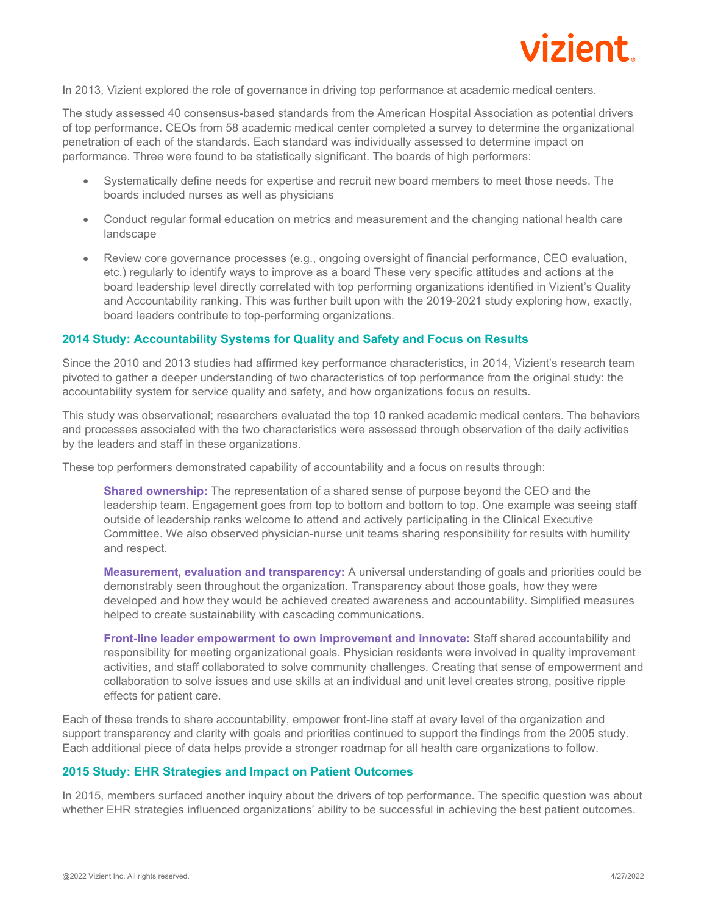

In 2013, Vizient explored the role of governance in driving top performance at academic medical centers.

The study assessed 40 consensus-based standards from the American Hospital Association as potential drivers of top performance. CEOs from 58 academic medical center completed a survey to determine the organizational penetration of each of the standards. Each standard was individually assessed to determine impact on performance. Three were found to be statistically significant. The boards of high performers:

- Systematically define needs for expertise and recruit new board members to meet those needs. The boards included nurses as well as physicians
- Conduct regular formal education on metrics and measurement and the changing national health care landscape
- Review core governance processes (e.g., ongoing oversight of financial performance, CEO evaluation, etc.) regularly to identify ways to improve as a board These very specific attitudes and actions at the board leadership level directly correlated with top performing organizations identified in Vizient's Quality and Accountability ranking. This was further built upon with the 2019-2021 study exploring how, exactly, board leaders contribute to top-performing organizations.

# **2014 Study: Accountability Systems for Quality and Safety and Focus on Results**

Since the 2010 and 2013 studies had affirmed key performance characteristics, in 2014, Vizient's research team pivoted to gather a deeper understanding of two characteristics of top performance from the original study: the accountability system for service quality and safety, and how organizations focus on results.

This study was observational; researchers evaluated the top 10 ranked academic medical centers. The behaviors and processes associated with the two characteristics were assessed through observation of the daily activities by the leaders and staff in these organizations.

These top performers demonstrated capability of accountability and a focus on results through:

**Shared ownership:** The representation of a shared sense of purpose beyond the CEO and the leadership team. Engagement goes from top to bottom and bottom to top. One example was seeing staff outside of leadership ranks welcome to attend and actively participating in the Clinical Executive Committee. We also observed physician-nurse unit teams sharing responsibility for results with humility and respect.

**Measurement, evaluation and transparency:** A universal understanding of goals and priorities could be demonstrably seen throughout the organization. Transparency about those goals, how they were developed and how they would be achieved created awareness and accountability. Simplified measures helped to create sustainability with cascading communications.

**Front-line leader empowerment to own improvement and innovate:** Staff shared accountability and responsibility for meeting organizational goals. Physician residents were involved in quality improvement activities, and staff collaborated to solve community challenges. Creating that sense of empowerment and collaboration to solve issues and use skills at an individual and unit level creates strong, positive ripple effects for patient care.

Each of these trends to share accountability, empower front-line staff at every level of the organization and support transparency and clarity with goals and priorities continued to support the findings from the 2005 study. Each additional piece of data helps provide a stronger roadmap for all health care organizations to follow.

#### **2015 Study: EHR Strategies and Impact on Patient Outcomes**

In 2015, members surfaced another inquiry about the drivers of top performance. The specific question was about whether EHR strategies influenced organizations' ability to be successful in achieving the best patient outcomes.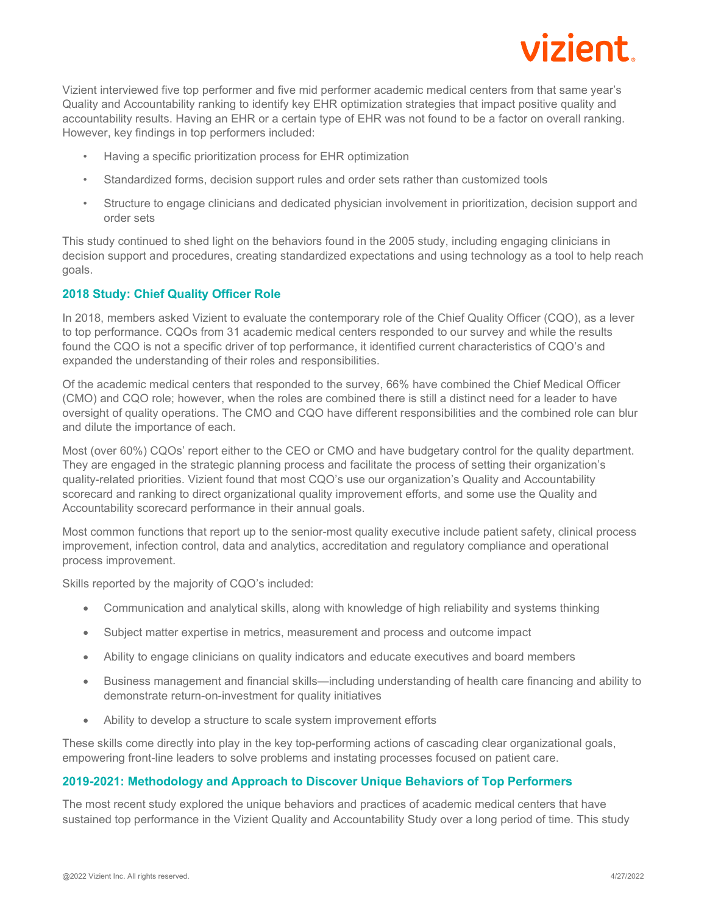

Vizient interviewed five top performer and five mid performer academic medical centers from that same year's Quality and Accountability ranking to identify key EHR optimization strategies that impact positive quality and accountability results. Having an EHR or a certain type of EHR was not found to be a factor on overall ranking. However, key findings in top performers included:

- Having a specific prioritization process for EHR optimization
- Standardized forms, decision support rules and order sets rather than customized tools
- Structure to engage clinicians and dedicated physician involvement in prioritization, decision support and order sets

This study continued to shed light on the behaviors found in the 2005 study, including engaging clinicians in decision support and procedures, creating standardized expectations and using technology as a tool to help reach goals.

# **2018 Study: Chief Quality Officer Role**

In 2018, members asked Vizient to evaluate the contemporary role of the Chief Quality Officer (CQO), as a lever to top performance. CQOs from 31 academic medical centers responded to our survey and while the results found the CQO is not a specific driver of top performance, it identified current characteristics of CQO's and expanded the understanding of their roles and responsibilities.

Of the academic medical centers that responded to the survey, 66% have combined the Chief Medical Officer (CMO) and CQO role; however, when the roles are combined there is still a distinct need for a leader to have oversight of quality operations. The CMO and CQO have different responsibilities and the combined role can blur and dilute the importance of each.

Most (over 60%) CQOs' report either to the CEO or CMO and have budgetary control for the quality department. They are engaged in the strategic planning process and facilitate the process of setting their organization's quality-related priorities. Vizient found that most CQO's use our organization's Quality and Accountability scorecard and ranking to direct organizational quality improvement efforts, and some use the Quality and Accountability scorecard performance in their annual goals.

Most common functions that report up to the senior-most quality executive include patient safety, clinical process improvement, infection control, data and analytics, accreditation and regulatory compliance and operational process improvement.

Skills reported by the majority of CQO's included:

- Communication and analytical skills, along with knowledge of high reliability and systems thinking
- Subject matter expertise in metrics, measurement and process and outcome impact
- Ability to engage clinicians on quality indicators and educate executives and board members
- Business management and financial skills—including understanding of health care financing and ability to demonstrate return-on-investment for quality initiatives
- Ability to develop a structure to scale system improvement efforts

These skills come directly into play in the key top-performing actions of cascading clear organizational goals, empowering front-line leaders to solve problems and instating processes focused on patient care.

# **2019-2021: Methodology and Approach to Discover Unique Behaviors of Top Performers**

The most recent study explored the unique behaviors and practices of academic medical centers that have sustained top performance in the Vizient Quality and Accountability Study over a long period of time. This study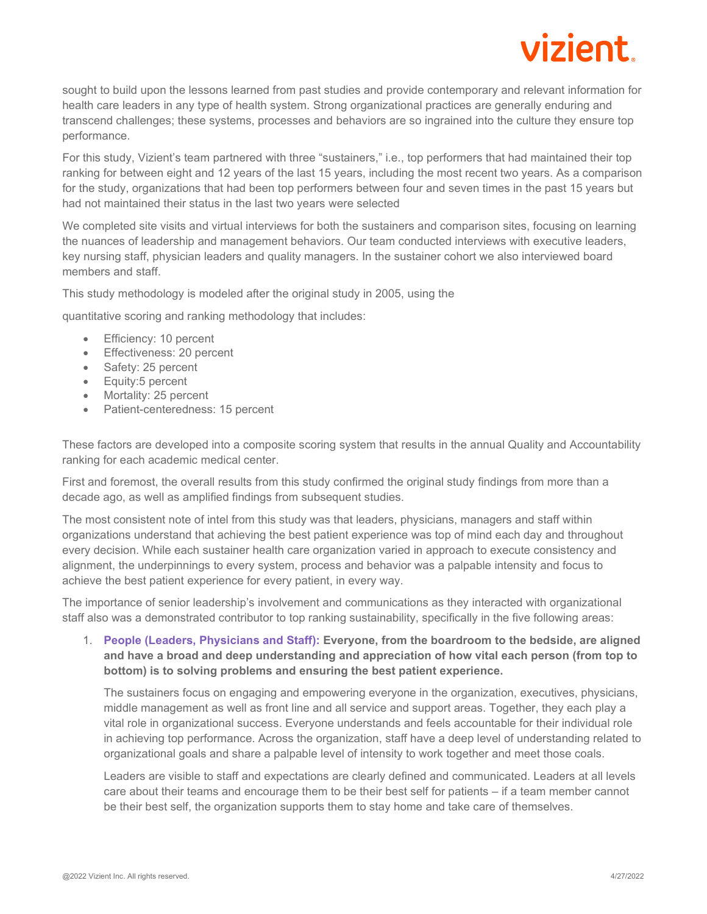# vizient

sought to build upon the lessons learned from past studies and provide contemporary and relevant information for health care leaders in any type of health system. Strong organizational practices are generally enduring and transcend challenges; these systems, processes and behaviors are so ingrained into the culture they ensure top performance.

For this study, Vizient's team partnered with three "sustainers," i.e., top performers that had maintained their top ranking for between eight and 12 years of the last 15 years, including the most recent two years. As a comparison for the study, organizations that had been top performers between four and seven times in the past 15 years but had not maintained their status in the last two years were selected

We completed site visits and virtual interviews for both the sustainers and comparison sites, focusing on learning the nuances of leadership and management behaviors. Our team conducted interviews with executive leaders, key nursing staff, physician leaders and quality managers. In the sustainer cohort we also interviewed board members and staff.

This study methodology is modeled after the original study in 2005, using the

quantitative scoring and ranking methodology that includes:

- Efficiency: 10 percent
- Effectiveness: 20 percent
- Safety: 25 percent
- Equity:5 percent
- Mortality: 25 percent
- Patient-centeredness: 15 percent

These factors are developed into a composite scoring system that results in the annual Quality and Accountability ranking for each academic medical center.

First and foremost, the overall results from this study confirmed the original study findings from more than a decade ago, as well as amplified findings from subsequent studies.

The most consistent note of intel from this study was that leaders, physicians, managers and staff within organizations understand that achieving the best patient experience was top of mind each day and throughout every decision. While each sustainer health care organization varied in approach to execute consistency and alignment, the underpinnings to every system, process and behavior was a palpable intensity and focus to achieve the best patient experience for every patient, in every way.

The importance of senior leadership's involvement and communications as they interacted with organizational staff also was a demonstrated contributor to top ranking sustainability, specifically in the five following areas:

1. **People (Leaders, Physicians and Staff): Everyone, from the boardroom to the bedside, are aligned and have a broad and deep understanding and appreciation of how vital each person (from top to bottom) is to solving problems and ensuring the best patient experience.**

The sustainers focus on engaging and empowering everyone in the organization, executives, physicians, middle management as well as front line and all service and support areas. Together, they each play a vital role in organizational success. Everyone understands and feels accountable for their individual role in achieving top performance. Across the organization, staff have a deep level of understanding related to organizational goals and share a palpable level of intensity to work together and meet those coals.

Leaders are visible to staff and expectations are clearly defined and communicated. Leaders at all levels care about their teams and encourage them to be their best self for patients – if a team member cannot be their best self, the organization supports them to stay home and take care of themselves.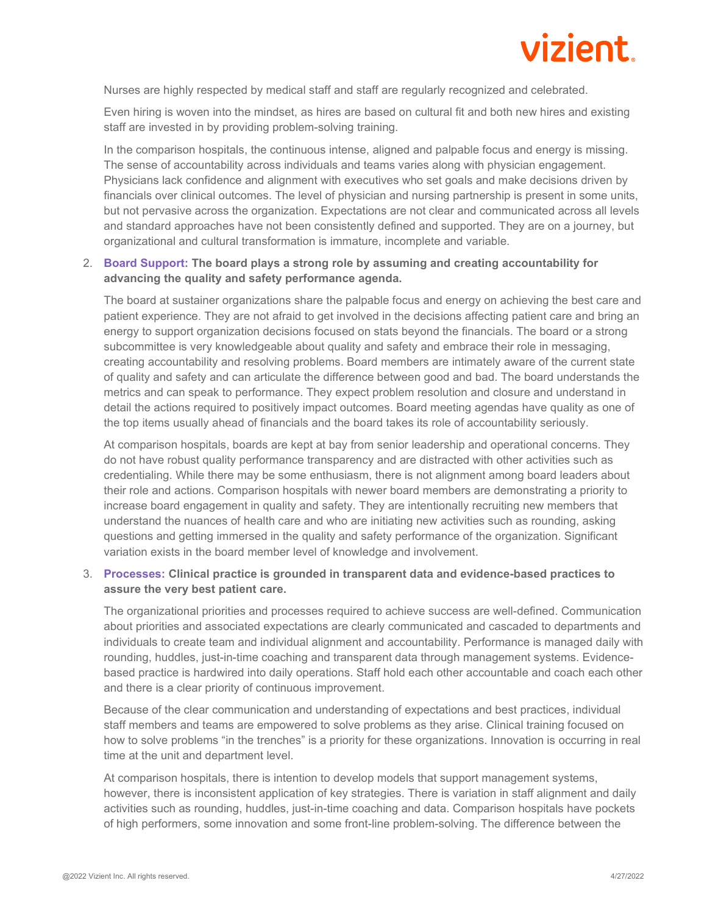

Nurses are highly respected by medical staff and staff are regularly recognized and celebrated.

Even hiring is woven into the mindset, as hires are based on cultural fit and both new hires and existing staff are invested in by providing problem-solving training.

In the comparison hospitals, the continuous intense, aligned and palpable focus and energy is missing. The sense of accountability across individuals and teams varies along with physician engagement. Physicians lack confidence and alignment with executives who set goals and make decisions driven by financials over clinical outcomes. The level of physician and nursing partnership is present in some units, but not pervasive across the organization. Expectations are not clear and communicated across all levels and standard approaches have not been consistently defined and supported. They are on a journey, but organizational and cultural transformation is immature, incomplete and variable.

### 2. **Board Support: The board plays a strong role by assuming and creating accountability for advancing the quality and safety performance agenda.**

The board at sustainer organizations share the palpable focus and energy on achieving the best care and patient experience. They are not afraid to get involved in the decisions affecting patient care and bring an energy to support organization decisions focused on stats beyond the financials. The board or a strong subcommittee is very knowledgeable about quality and safety and embrace their role in messaging, creating accountability and resolving problems. Board members are intimately aware of the current state of quality and safety and can articulate the difference between good and bad. The board understands the metrics and can speak to performance. They expect problem resolution and closure and understand in detail the actions required to positively impact outcomes. Board meeting agendas have quality as one of the top items usually ahead of financials and the board takes its role of accountability seriously.

At comparison hospitals, boards are kept at bay from senior leadership and operational concerns. They do not have robust quality performance transparency and are distracted with other activities such as credentialing. While there may be some enthusiasm, there is not alignment among board leaders about their role and actions. Comparison hospitals with newer board members are demonstrating a priority to increase board engagement in quality and safety. They are intentionally recruiting new members that understand the nuances of health care and who are initiating new activities such as rounding, asking questions and getting immersed in the quality and safety performance of the organization. Significant variation exists in the board member level of knowledge and involvement.

# 3. **Processes: Clinical practice is grounded in transparent data and evidence-based practices to assure the very best patient care.**

The organizational priorities and processes required to achieve success are well-defined. Communication about priorities and associated expectations are clearly communicated and cascaded to departments and individuals to create team and individual alignment and accountability. Performance is managed daily with rounding, huddles, just-in-time coaching and transparent data through management systems. Evidencebased practice is hardwired into daily operations. Staff hold each other accountable and coach each other and there is a clear priority of continuous improvement.

Because of the clear communication and understanding of expectations and best practices, individual staff members and teams are empowered to solve problems as they arise. Clinical training focused on how to solve problems "in the trenches" is a priority for these organizations. Innovation is occurring in real time at the unit and department level.

At comparison hospitals, there is intention to develop models that support management systems, however, there is inconsistent application of key strategies. There is variation in staff alignment and daily activities such as rounding, huddles, just-in-time coaching and data. Comparison hospitals have pockets of high performers, some innovation and some front-line problem-solving. The difference between the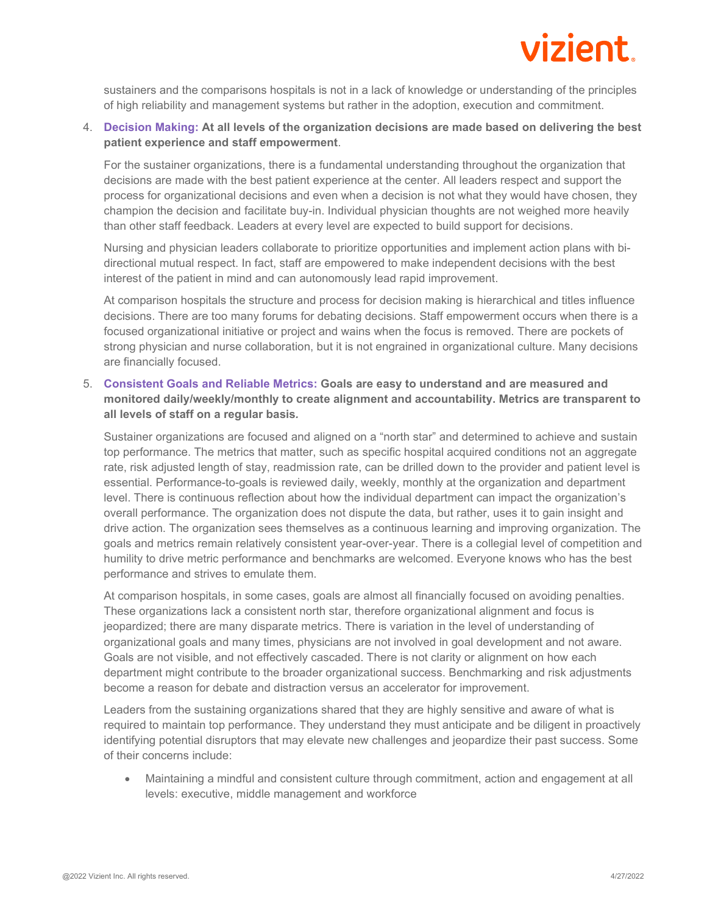# vizient

sustainers and the comparisons hospitals is not in a lack of knowledge or understanding of the principles of high reliability and management systems but rather in the adoption, execution and commitment.

# 4. **Decision Making: At all levels of the organization decisions are made based on delivering the best patient experience and staff empowerment**.

For the sustainer organizations, there is a fundamental understanding throughout the organization that decisions are made with the best patient experience at the center. All leaders respect and support the process for organizational decisions and even when a decision is not what they would have chosen, they champion the decision and facilitate buy-in. Individual physician thoughts are not weighed more heavily than other staff feedback. Leaders at every level are expected to build support for decisions.

Nursing and physician leaders collaborate to prioritize opportunities and implement action plans with bidirectional mutual respect. In fact, staff are empowered to make independent decisions with the best interest of the patient in mind and can autonomously lead rapid improvement.

At comparison hospitals the structure and process for decision making is hierarchical and titles influence decisions. There are too many forums for debating decisions. Staff empowerment occurs when there is a focused organizational initiative or project and wains when the focus is removed. There are pockets of strong physician and nurse collaboration, but it is not engrained in organizational culture. Many decisions are financially focused.

# 5. **Consistent Goals and Reliable Metrics: Goals are easy to understand and are measured and monitored daily/weekly/monthly to create alignment and accountability. Metrics are transparent to all levels of staff on a regular basis***.*

Sustainer organizations are focused and aligned on a "north star" and determined to achieve and sustain top performance. The metrics that matter, such as specific hospital acquired conditions not an aggregate rate, risk adjusted length of stay, readmission rate, can be drilled down to the provider and patient level is essential. Performance-to-goals is reviewed daily, weekly, monthly at the organization and department level. There is continuous reflection about how the individual department can impact the organization's overall performance. The organization does not dispute the data, but rather, uses it to gain insight and drive action. The organization sees themselves as a continuous learning and improving organization. The goals and metrics remain relatively consistent year-over-year. There is a collegial level of competition and humility to drive metric performance and benchmarks are welcomed. Everyone knows who has the best performance and strives to emulate them.

At comparison hospitals, in some cases, goals are almost all financially focused on avoiding penalties. These organizations lack a consistent north star, therefore organizational alignment and focus is jeopardized; there are many disparate metrics. There is variation in the level of understanding of organizational goals and many times, physicians are not involved in goal development and not aware. Goals are not visible, and not effectively cascaded. There is not clarity or alignment on how each department might contribute to the broader organizational success. Benchmarking and risk adjustments become a reason for debate and distraction versus an accelerator for improvement.

Leaders from the sustaining organizations shared that they are highly sensitive and aware of what is required to maintain top performance. They understand they must anticipate and be diligent in proactively identifying potential disruptors that may elevate new challenges and jeopardize their past success. Some of their concerns include:

• Maintaining a mindful and consistent culture through commitment, action and engagement at all levels: executive, middle management and workforce